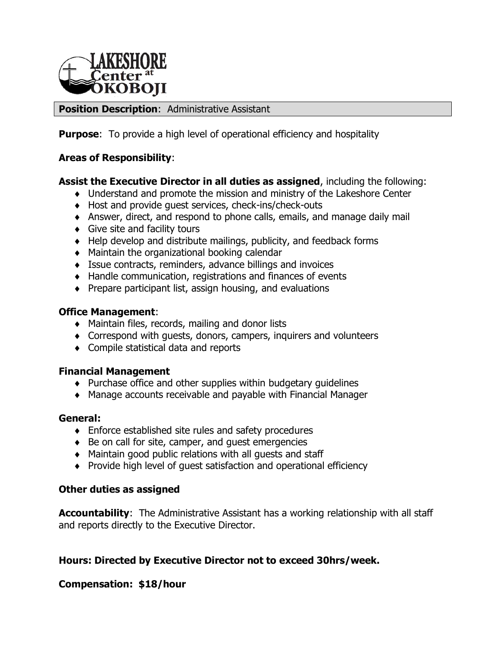

### **Position Description**: Administrative Assistant

**Purpose:** To provide a high level of operational efficiency and hospitality

### **Areas of Responsibility**:

### **Assist the Executive Director in all duties as assigned**, including the following:

- Understand and promote the mission and ministry of the Lakeshore Center
- Host and provide guest services, check-ins/check-outs
- Answer, direct, and respond to phone calls, emails, and manage daily mail
- Give site and facility tours
- Help develop and distribute mailings, publicity, and feedback forms
- Maintain the organizational booking calendar
- Issue contracts, reminders, advance billings and invoices
- Handle communication, registrations and finances of events
- $\bullet$  Prepare participant list, assign housing, and evaluations

#### **Office Management**:

- Maintain files, records, mailing and donor lists
- Correspond with guests, donors, campers, inquirers and volunteers
- ◆ Compile statistical data and reports

# **Financial Management**

- $\bullet$  Purchase office and other supplies within budgetary quidelines
- Manage accounts receivable and payable with Financial Manager

#### **General:**

- Enforce established site rules and safety procedures
- $\bullet$  Be on call for site, camper, and guest emergencies
- Maintain good public relations with all guests and staff
- Provide high level of guest satisfaction and operational efficiency

#### **Other duties as assigned**

**Accountability**: The Administrative Assistant has a working relationship with all staff and reports directly to the Executive Director.

# **Hours: Directed by Executive Director not to exceed 30hrs/week.**

# **Compensation: \$18/hour**